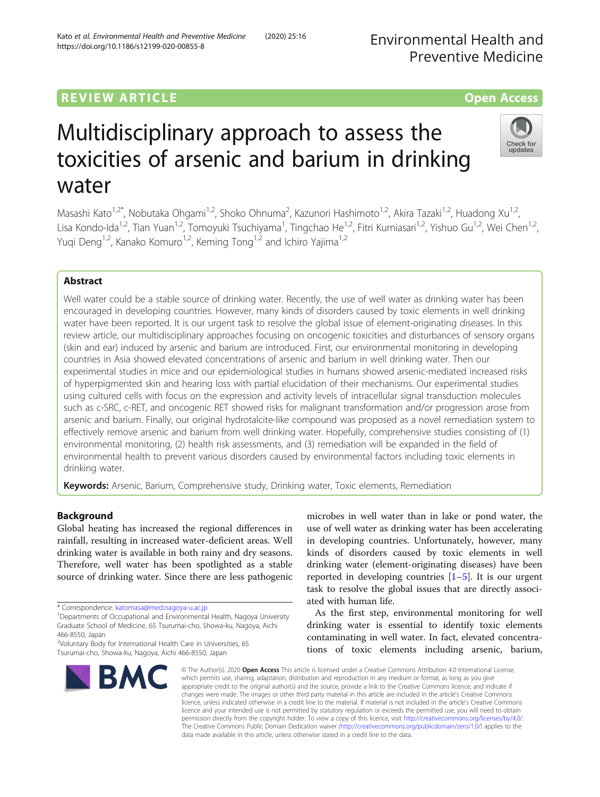# **REVIEW ARTICLE External Structure of the Contract Contract Contract Contract Contract Contract Contract Contract Contract Contract Contract Contract Contract Contract Contract Contract Contract Contract Contract Contrac**

# Multidisciplinary approach to assess the toxicities of arsenic and barium in drinking water

Masashi Kato<sup>1,2\*</sup>, Nobutaka Ohgami<sup>1,2</sup>, Shoko Ohnuma<sup>2</sup>, Kazunori Hashimoto<sup>1,2</sup>, Akira Tazaki<sup>1,2</sup>, Huadong Xu<sup>1,2</sup>, Lisa Kondo-Ida<sup>1,2</sup>, Tian Yuan<sup>1,2</sup>, Tomoyuki Tsuchiyama<sup>1</sup>, Tingchao He<sup>1,2</sup>, Fitri Kurniasari<sup>1,2</sup>, Yishuo Gu<sup>1,2</sup>, Wei Chen<sup>1,2</sup>, Yuqi Deng<sup>1,2</sup>, Kanako Komuro<sup>1,2</sup>, Keming Tong<sup>1,2</sup> and Ichiro Yajima<sup>1,2</sup>

# Abstract

Well water could be a stable source of drinking water. Recently, the use of well water as drinking water has been encouraged in developing countries. However, many kinds of disorders caused by toxic elements in well drinking water have been reported. It is our urgent task to resolve the global issue of element-originating diseases. In this review article, our multidisciplinary approaches focusing on oncogenic toxicities and disturbances of sensory organs (skin and ear) induced by arsenic and barium are introduced. First, our environmental monitoring in developing countries in Asia showed elevated concentrations of arsenic and barium in well drinking water. Then our experimental studies in mice and our epidemiological studies in humans showed arsenic-mediated increased risks of hyperpigmented skin and hearing loss with partial elucidation of their mechanisms. Our experimental studies using cultured cells with focus on the expression and activity levels of intracellular signal transduction molecules such as c-SRC, c-RET, and oncogenic RET showed risks for malignant transformation and/or progression arose from arsenic and barium. Finally, our original hydrotalcite-like compound was proposed as a novel remediation system to effectively remove arsenic and barium from well drinking water. Hopefully, comprehensive studies consisting of (1) environmental monitoring, (2) health risk assessments, and (3) remediation will be expanded in the field of environmental health to prevent various disorders caused by environmental factors including toxic elements in drinking water.

Keywords: Arsenic, Barium, Comprehensive study, Drinking water, Toxic elements, Remediation

## Background

Global heating has increased the regional differences in rainfall, resulting in increased water-deficient areas. Well drinking water is available in both rainy and dry seasons. Therefore, well water has been spotlighted as a stable source of drinking water. Since there are less pathogenic

\* Correspondence: [katomasa@med.nagoya-u.ac.jp](mailto:katomasa@med.nagoya-u.ac.jp) <sup>1</sup>

**BM** 

2 Voluntary Body for International Health Care in Universities, 65 Tsurumai-cho, Showa-ku, Nagoya, Aichi 466-8550, Japan



© The Author(s), 2020 **Open Access** This article is licensed under a Creative Commons Attribution 4.0 International License, which permits use, sharing, adaptation, distribution and reproduction in any medium or format, as long as you give

microbes in well water than in lake or pond water, the use of well water as drinking water has been accelerating in developing countries. Unfortunately, however, many kinds of disorders caused by toxic elements in well drinking water (element-originating diseases) have been reported in developing countries [\[1](#page-4-0)–[5](#page-5-0)]. It is our urgent task to resolve the global issues that are directly associated with human life.

As the first step, environmental monitoring for well drinking water is essential to identify toxic elements contaminating in well water. In fact, elevated concentrations of toxic elements including arsenic, barium,





<sup>&</sup>lt;sup>1</sup> Departments of Occupational and Environmental Health, Nagoya University Graduate School of Medicine, 65 Tsurumai-cho, Showa-ku, Nagoya, Aichi 466-8550, Japan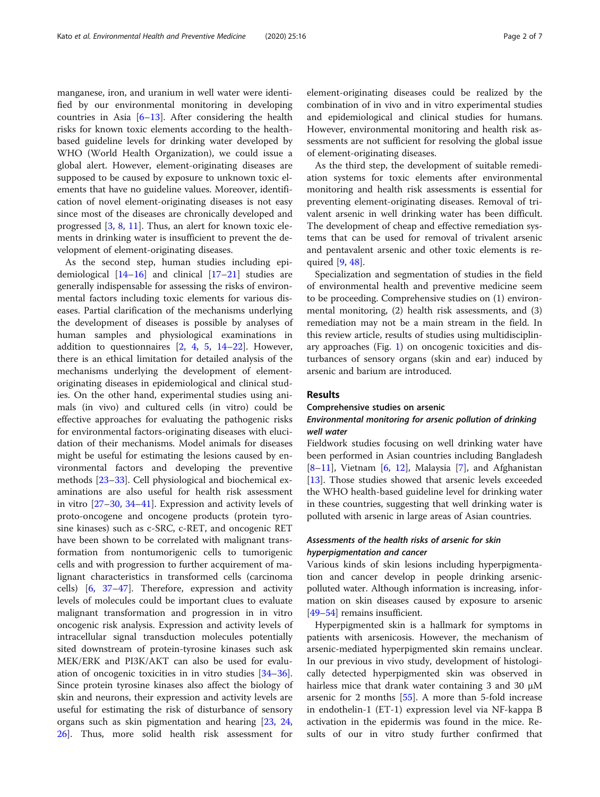manganese, iron, and uranium in well water were identified by our environmental monitoring in developing countries in Asia  $[6-13]$  $[6-13]$  $[6-13]$ . After considering the health risks for known toxic elements according to the healthbased guideline levels for drinking water developed by WHO (World Health Organization), we could issue a global alert. However, element-originating diseases are supposed to be caused by exposure to unknown toxic elements that have no guideline values. Moreover, identification of novel element-originating diseases is not easy since most of the diseases are chronically developed and progressed [\[3,](#page-4-0) [8](#page-5-0), [11](#page-5-0)]. Thus, an alert for known toxic elements in drinking water is insufficient to prevent the development of element-originating diseases.

As the second step, human studies including epidemiological [\[14](#page-5-0)–[16\]](#page-5-0) and clinical [[17](#page-5-0)–[21](#page-5-0)] studies are generally indispensable for assessing the risks of environmental factors including toxic elements for various diseases. Partial clarification of the mechanisms underlying the development of diseases is possible by analyses of human samples and physiological examinations in addition to questionnaires  $[2, 4, 5, 14-22]$  $[2, 4, 5, 14-22]$  $[2, 4, 5, 14-22]$  $[2, 4, 5, 14-22]$  $[2, 4, 5, 14-22]$  $[2, 4, 5, 14-22]$  $[2, 4, 5, 14-22]$  $[2, 4, 5, 14-22]$  $[2, 4, 5, 14-22]$  $[2, 4, 5, 14-22]$  $[2, 4, 5, 14-22]$ . However, there is an ethical limitation for detailed analysis of the mechanisms underlying the development of elementoriginating diseases in epidemiological and clinical studies. On the other hand, experimental studies using animals (in vivo) and cultured cells (in vitro) could be effective approaches for evaluating the pathogenic risks for environmental factors-originating diseases with elucidation of their mechanisms. Model animals for diseases might be useful for estimating the lesions caused by environmental factors and developing the preventive methods [\[23](#page-5-0)–[33\]](#page-5-0). Cell physiological and biochemical examinations are also useful for health risk assessment in vitro [\[27](#page-5-0)–[30](#page-5-0), [34](#page-5-0)–[41](#page-5-0)]. Expression and activity levels of proto-oncogene and oncogene products (protein tyrosine kinases) such as c-SRC, c-RET, and oncogenic RET have been shown to be correlated with malignant transformation from nontumorigenic cells to tumorigenic cells and with progression to further acquirement of malignant characteristics in transformed cells (carcinoma cells) [[6,](#page-5-0) [37](#page-5-0)–[47](#page-5-0)]. Therefore, expression and activity levels of molecules could be important clues to evaluate malignant transformation and progression in in vitro oncogenic risk analysis. Expression and activity levels of intracellular signal transduction molecules potentially sited downstream of protein-tyrosine kinases such ask MEK/ERK and PI3K/AKT can also be used for evaluation of oncogenic toxicities in in vitro studies [[34](#page-5-0)–[36](#page-5-0)]. Since protein tyrosine kinases also affect the biology of skin and neurons, their expression and activity levels are useful for estimating the risk of disturbance of sensory organs such as skin pigmentation and hearing [\[23,](#page-5-0) [24](#page-5-0), [26\]](#page-5-0). Thus, more solid health risk assessment for

element-originating diseases could be realized by the combination of in vivo and in vitro experimental studies and epidemiological and clinical studies for humans. However, environmental monitoring and health risk assessments are not sufficient for resolving the global issue of element-originating diseases.

As the third step, the development of suitable remediation systems for toxic elements after environmental monitoring and health risk assessments is essential for preventing element-originating diseases. Removal of trivalent arsenic in well drinking water has been difficult. The development of cheap and effective remediation systems that can be used for removal of trivalent arsenic and pentavalent arsenic and other toxic elements is required [\[9](#page-5-0), [48](#page-6-0)].

Specialization and segmentation of studies in the field of environmental health and preventive medicine seem to be proceeding. Comprehensive studies on (1) environmental monitoring, (2) health risk assessments, and (3) remediation may not be a main stream in the field. In this review article, results of studies using multidisciplinary approaches (Fig. [1](#page-2-0)) on oncogenic toxicities and disturbances of sensory organs (skin and ear) induced by arsenic and barium are introduced.

#### Results

#### Comprehensive studies on arsenic

### Environmental monitoring for arsenic pollution of drinking well water

Fieldwork studies focusing on well drinking water have been performed in Asian countries including Bangladesh  $[8-11]$  $[8-11]$  $[8-11]$  $[8-11]$ , Vietnam  $[6, 12]$  $[6, 12]$  $[6, 12]$  $[6, 12]$  $[6, 12]$ , Malaysia  $[7]$  $[7]$ , and Afghanistan [[13\]](#page-5-0). Those studies showed that arsenic levels exceeded the WHO health-based guideline level for drinking water in these countries, suggesting that well drinking water is polluted with arsenic in large areas of Asian countries.

#### Assessments of the health risks of arsenic for skin hyperpigmentation and cancer

Various kinds of skin lesions including hyperpigmentation and cancer develop in people drinking arsenicpolluted water. Although information is increasing, information on skin diseases caused by exposure to arsenic [[49](#page-6-0)–[54\]](#page-6-0) remains insufficient.

Hyperpigmented skin is a hallmark for symptoms in patients with arsenicosis. However, the mechanism of arsenic-mediated hyperpigmented skin remains unclear. In our previous in vivo study, development of histologically detected hyperpigmented skin was observed in hairless mice that drank water containing 3 and 30 μM arsenic for 2 months [[55\]](#page-6-0). A more than 5-fold increase in endothelin-1 (ET-1) expression level via NF-kappa B activation in the epidermis was found in the mice. Results of our in vitro study further confirmed that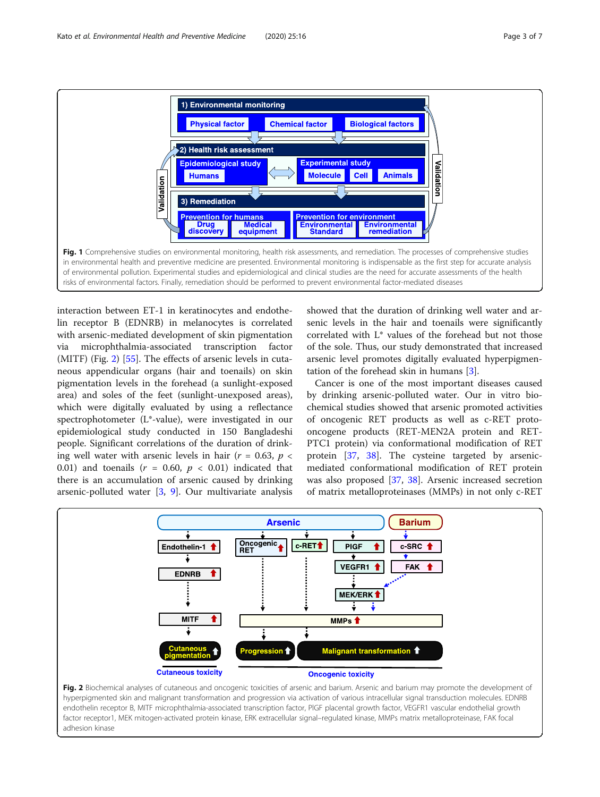<span id="page-2-0"></span>

interaction between ET-1 in keratinocytes and endothelin receptor B (EDNRB) in melanocytes is correlated with arsenic-mediated development of skin pigmentation via microphthalmia-associated transcription factor (MITF) (Fig. 2) [[55\]](#page-6-0). The effects of arsenic levels in cutaneous appendicular organs (hair and toenails) on skin pigmentation levels in the forehead (a sunlight-exposed area) and soles of the feet (sunlight-unexposed areas), which were digitally evaluated by using a reflectance spectrophotometer (L\*-value), were investigated in our epidemiological study conducted in 150 Bangladeshi people. Significant correlations of the duration of drinking well water with arsenic levels in hair ( $r = 0.63$ ,  $p <$ 0.01) and toenails ( $r = 0.60$ ,  $p < 0.01$ ) indicated that there is an accumulation of arsenic caused by drinking arsenic-polluted water [[3](#page-4-0), [9](#page-5-0)]. Our multivariate analysis showed that the duration of drinking well water and arsenic levels in the hair and toenails were significantly correlated with L\* values of the forehead but not those of the sole. Thus, our study demonstrated that increased arsenic level promotes digitally evaluated hyperpigmentation of the forehead skin in humans [[3](#page-4-0)].

Cancer is one of the most important diseases caused by drinking arsenic-polluted water. Our in vitro biochemical studies showed that arsenic promoted activities of oncogenic RET products as well as c-RET protooncogene products (RET-MEN2A protein and RET-PTC1 protein) via conformational modification of RET protein [[37](#page-5-0), [38\]](#page-5-0). The cysteine targeted by arsenicmediated conformational modification of RET protein was also proposed [[37,](#page-5-0) [38\]](#page-5-0). Arsenic increased secretion of matrix metalloproteinases (MMPs) in not only c-RET



Fig. 2 Biochemical analyses of cutaneous and oncogenic toxicities of arsenic and barium. Arsenic and barium may promote the development of hyperpigmented skin and malignant transformation and progression via activation of various intracellular signal transduction molecules. EDNRB endothelin receptor B, MITF microphthalmia-associated transcription factor, PlGF placental growth factor, VEGFR1 vascular endothelial growth factor receptor1, MEK mitogen-activated protein kinase, ERK extracellular signal–regulated kinase, MMPs matrix metalloproteinase, FAK focal adhesion kinase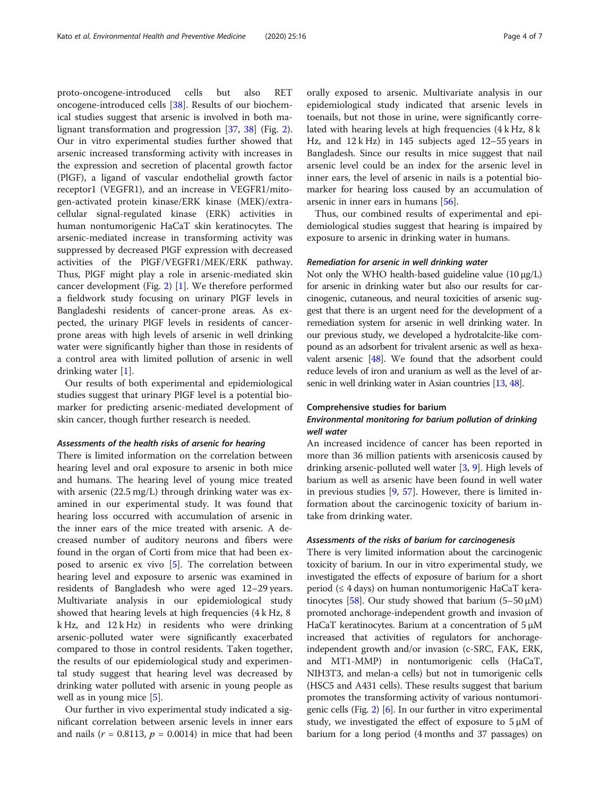proto-oncogene-introduced cells but also RET oncogene-introduced cells [[38](#page-5-0)]. Results of our biochemical studies suggest that arsenic is involved in both malignant transformation and progression [\[37](#page-5-0), [38\]](#page-5-0) (Fig. [2](#page-2-0)). Our in vitro experimental studies further showed that arsenic increased transforming activity with increases in the expression and secretion of placental growth factor (PlGF), a ligand of vascular endothelial growth factor receptor1 (VEGFR1), and an increase in VEGFR1/mitogen-activated protein kinase/ERK kinase (MEK)/extracellular signal-regulated kinase (ERK) activities in human nontumorigenic HaCaT skin keratinocytes. The arsenic-mediated increase in transforming activity was suppressed by decreased PlGF expression with decreased activities of the PlGF/VEGFR1/MEK/ERK pathway. Thus, PlGF might play a role in arsenic-mediated skin cancer development (Fig. [2\)](#page-2-0) [\[1\]](#page-4-0). We therefore performed a fieldwork study focusing on urinary PlGF levels in Bangladeshi residents of cancer-prone areas. As expected, the urinary PlGF levels in residents of cancerprone areas with high levels of arsenic in well drinking water were significantly higher than those in residents of a control area with limited pollution of arsenic in well drinking water [[1\]](#page-4-0).

Our results of both experimental and epidemiological studies suggest that urinary PlGF level is a potential biomarker for predicting arsenic-mediated development of skin cancer, though further research is needed.

#### Assessments of the health risks of arsenic for hearing

There is limited information on the correlation between hearing level and oral exposure to arsenic in both mice and humans. The hearing level of young mice treated with arsenic (22.5 mg/L) through drinking water was examined in our experimental study. It was found that hearing loss occurred with accumulation of arsenic in the inner ears of the mice treated with arsenic. A decreased number of auditory neurons and fibers were found in the organ of Corti from mice that had been exposed to arsenic ex vivo [\[5\]](#page-5-0). The correlation between hearing level and exposure to arsenic was examined in residents of Bangladesh who were aged 12–29 years. Multivariate analysis in our epidemiological study showed that hearing levels at high frequencies (4 k Hz, 8 k Hz, and 12 k Hz) in residents who were drinking arsenic-polluted water were significantly exacerbated compared to those in control residents. Taken together, the results of our epidemiological study and experimental study suggest that hearing level was decreased by drinking water polluted with arsenic in young people as well as in young mice [[5](#page-5-0)].

Our further in vivo experimental study indicated a significant correlation between arsenic levels in inner ears and nails ( $r = 0.8113$ ,  $p = 0.0014$ ) in mice that had been orally exposed to arsenic. Multivariate analysis in our epidemiological study indicated that arsenic levels in toenails, but not those in urine, were significantly correlated with hearing levels at high frequencies (4 k Hz, 8 k Hz, and 12 k Hz) in 145 subjects aged 12–55 years in Bangladesh. Since our results in mice suggest that nail arsenic level could be an index for the arsenic level in inner ears, the level of arsenic in nails is a potential biomarker for hearing loss caused by an accumulation of arsenic in inner ears in humans [\[56](#page-6-0)].

Thus, our combined results of experimental and epidemiological studies suggest that hearing is impaired by exposure to arsenic in drinking water in humans.

#### Remediation for arsenic in well drinking water

Not only the WHO health-based guideline value (10 μg/L) for arsenic in drinking water but also our results for carcinogenic, cutaneous, and neural toxicities of arsenic suggest that there is an urgent need for the development of a remediation system for arsenic in well drinking water. In our previous study, we developed a hydrotalcite-like compound as an adsorbent for trivalent arsenic as well as hexavalent arsenic [[48\]](#page-6-0). We found that the adsorbent could reduce levels of iron and uranium as well as the level of arsenic in well drinking water in Asian countries [\[13,](#page-5-0) [48\]](#page-6-0).

#### Comprehensive studies for barium

#### Environmental monitoring for barium pollution of drinking well water

An increased incidence of cancer has been reported in more than 36 million patients with arsenicosis caused by drinking arsenic-polluted well water [[3,](#page-4-0) [9\]](#page-5-0). High levels of barium as well as arsenic have been found in well water in previous studies [\[9](#page-5-0), [57\]](#page-6-0). However, there is limited information about the carcinogenic toxicity of barium intake from drinking water.

#### Assessments of the risks of barium for carcinogenesis

There is very limited information about the carcinogenic toxicity of barium. In our in vitro experimental study, we investigated the effects of exposure of barium for a short period (≤ 4 days) on human nontumorigenic HaCaT kera-tinocytes [\[58\]](#page-6-0). Our study showed that barium  $(5-50 \mu M)$ promoted anchorage-independent growth and invasion of HaCaT keratinocytes. Barium at a concentration of 5 μM increased that activities of regulators for anchorageindependent growth and/or invasion (c-SRC, FAK, ERK, and MT1-MMP) in nontumorigenic cells (HaCaT, NIH3T3, and melan-a cells) but not in tumorigenic cells (HSC5 and A431 cells). These results suggest that barium promotes the transforming activity of various nontumorigenic cells (Fig. [2\)](#page-2-0) [[6](#page-5-0)]. In our further in vitro experimental study, we investigated the effect of exposure to  $5 \mu M$  of barium for a long period (4 months and 37 passages) on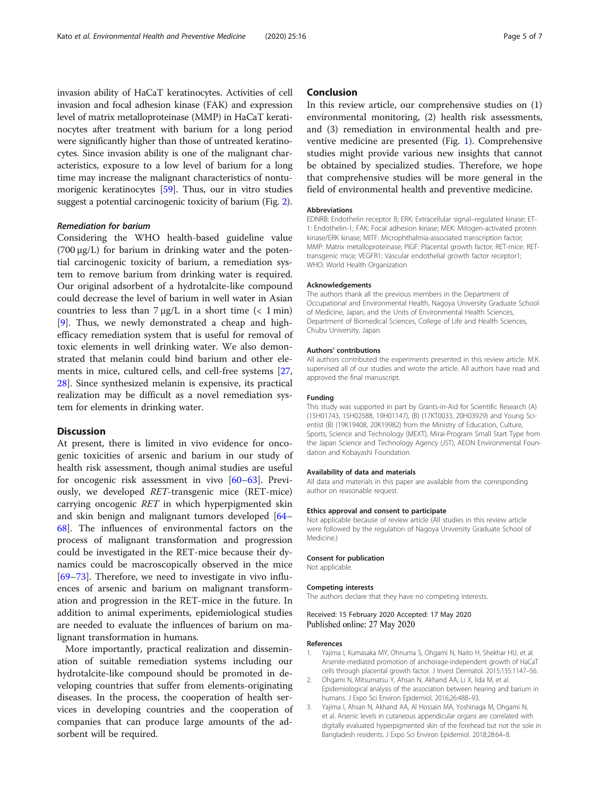<span id="page-4-0"></span>invasion ability of HaCaT keratinocytes. Activities of cell invasion and focal adhesion kinase (FAK) and expression level of matrix metalloproteinase (MMP) in HaCaT keratinocytes after treatment with barium for a long period were significantly higher than those of untreated keratinocytes. Since invasion ability is one of the malignant characteristics, exposure to a low level of barium for a long time may increase the malignant characteristics of nontumorigenic keratinocytes [\[59\]](#page-6-0). Thus, our in vitro studies suggest a potential carcinogenic toxicity of barium (Fig. [2\)](#page-2-0).

#### Remediation for barium

Considering the WHO health-based guideline value (700 μg/L) for barium in drinking water and the potential carcinogenic toxicity of barium, a remediation system to remove barium from drinking water is required. Our original adsorbent of a hydrotalcite-like compound could decrease the level of barium in well water in Asian countries to less than  $7 \mu g/L$  in a short time  $\left($  < 1 min) [[9\]](#page-5-0). Thus, we newly demonstrated a cheap and highefficacy remediation system that is useful for removal of toxic elements in well drinking water. We also demonstrated that melanin could bind barium and other elements in mice, cultured cells, and cell-free systems [[27](#page-5-0), [28\]](#page-5-0). Since synthesized melanin is expensive, its practical realization may be difficult as a novel remediation system for elements in drinking water.

#### Discussion

At present, there is limited in vivo evidence for oncogenic toxicities of arsenic and barium in our study of health risk assessment, though animal studies are useful for oncogenic risk assessment in vivo [\[60](#page-6-0)–[63\]](#page-6-0). Previously, we developed RET-transgenic mice (RET-mice) carrying oncogenic RET in which hyperpigmented skin and skin benign and malignant tumors developed [[64](#page-6-0)– [68\]](#page-6-0). The influences of environmental factors on the process of malignant transformation and progression could be investigated in the RET-mice because their dynamics could be macroscopically observed in the mice [[69](#page-6-0)–[73](#page-6-0)]. Therefore, we need to investigate in vivo influences of arsenic and barium on malignant transformation and progression in the RET-mice in the future. In addition to animal experiments, epidemiological studies are needed to evaluate the influences of barium on malignant transformation in humans.

More importantly, practical realization and dissemination of suitable remediation systems including our hydrotalcite-like compound should be promoted in developing countries that suffer from elements-originating diseases. In the process, the cooperation of health services in developing countries and the cooperation of companies that can produce large amounts of the adsorbent will be required.

#### Conclusion

In this review article, our comprehensive studies on (1) environmental monitoring, (2) health risk assessments, and (3) remediation in environmental health and preventive medicine are presented (Fig. [1\)](#page-2-0). Comprehensive studies might provide various new insights that cannot be obtained by specialized studies. Therefore, we hope that comprehensive studies will be more general in the field of environmental health and preventive medicine.

#### Abbreviations

EDNRB: Endothelin receptor B; ERK: Extracellular signal–regulated kinase; ET-1: Endothelin-1; FAK: Focal adhesion kinase; MEK: Mitogen-activated protein kinase/ERK kinase; MITF: Microphthalmia-associated transcription factor; MMP: Matrix metalloproteinase; PlGF: Placental growth factor; RET-mice: RETtransgenic mice; VEGFR1: Vascular endothelial growth factor receptor1; WHO: World Health Organization

#### Acknowledgements

The authors thank all the previous members in the Department of Occupational and Environmental Health, Nagoya University Graduate School of Medicine, Japan, and the Units of Environmental Health Sciences, Department of Biomedical Sciences, College of Life and Health Sciences, Chubu University, Japan.

#### Authors' contributions

All authors contributed the experiments presented in this review article. M.K. supervised all of our studies and wrote the article. All authors have read and approved the final manuscript.

#### Funding

This study was supported in part by Grants-in-Aid for Scientific Research (A) (15H01743, 15H02588, 19H01147), (B) (17KT0033, 20H03929) and Young Scientist (B) (19K19408, 20K19982) from the Ministry of Education, Culture, Sports, Science and Technology (MEXT), Mirai-Program Small Start Type from the Japan Science and Technology Agency (JST), AEON Environmental Foundation and Kobayashi Foundation.

#### Availability of data and materials

All data and materials in this paper are available from the corresponding author on reasonable request.

#### Ethics approval and consent to participate

Not applicable because of review article (All studies in this review article were followed by the regulation of Nagoya University Graduate School of Medicine.)

#### Consent for publication

Not applicable.

#### Competing interests

The authors declare that they have no competing interests.

#### Received: 15 February 2020 Accepted: 17 May 2020 Published online: 27 May 2020

#### References

- 1. Yajima I, Kumasaka MY, Ohnuma S, Ohgami N, Naito H, Shekhar HU, et al. Arsenite-mediated promotion of anchorage-independent growth of HaCaT cells through placental growth factor. J Invest Dermatol. 2015;135:1147–56.
- 2. Ohgami N, Mitsumatsu Y, Ahsan N, Akhand AA, Li X, Iida M, et al. Epidemiological analysis of the association between hearing and barium in humans. J Expo Sci Environ Epidemiol. 2016;26:488–93.
- 3. Yajima I, Ahsan N, Akhand AA, Al Hossain MA, Yoshinaga M, Ohgami N, et al. Arsenic levels in cutaneous appendicular organs are correlated with digitally evaluated hyperpigmented skin of the forehead but not the sole in Bangladesh residents. J Expo Sci Environ Epidemiol. 2018;28:64–8.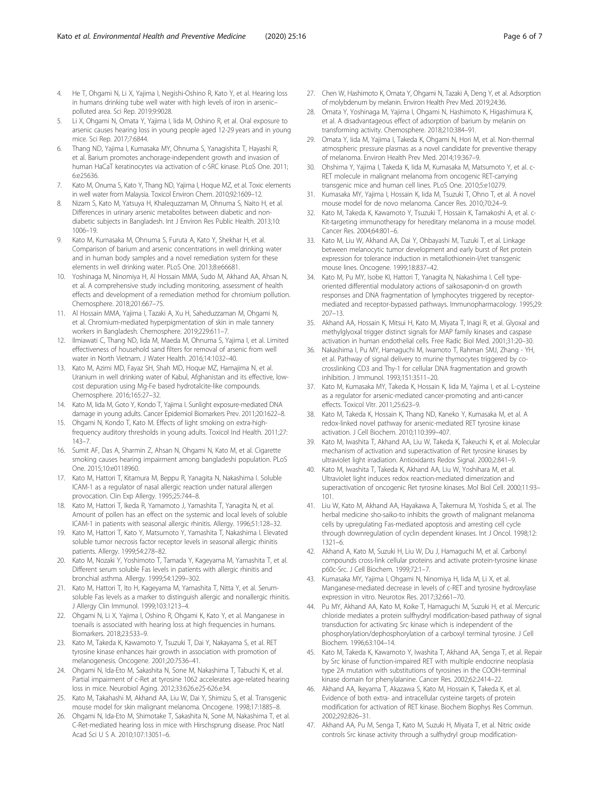- <span id="page-5-0"></span>4. He T, Ohgami N, Li X, Yajima I, Negishi-Oshino R, Kato Y, et al. Hearing loss in humans drinking tube well water with high levels of iron in arsenic– polluted area. Sci Rep. 2019;9:9028.
- 5. Li X, Ohgami N, Omata Y, Yajima I, Iida M, Oshino R, et al. Oral exposure to arsenic causes hearing loss in young people aged 12-29 years and in young mice. Sci Rep. 2017;7:6844.
- Thang ND, Yajima I, Kumasaka MY, Ohnuma S, Yanagishita T, Hayashi R, et al. Barium promotes anchorage-independent growth and invasion of human HaCaT keratinocytes via activation of c-SRC kinase. PLoS One. 2011; 6:e25636.
- 7. Kato M, Onuma S, Kato Y, Thang ND, Yajima I, Hoque MZ, et al. Toxic elements in well water from Malaysia. Toxicol Environ Chem. 2010;92:1609–12.
- 8. Nizam S, Kato M, Yatsuya H, Khalequzzaman M, Ohnuma S, Naito H, et al. Differences in urinary arsenic metabolites between diabetic and nondiabetic subjects in Bangladesh. Int J Environ Res Public Health. 2013;10: 1006–19.
- 9. Kato M, Kumasaka M, Ohnuma S, Furuta A, Kato Y, Shekhar H, et al. Comparison of barium and arsenic concentrations in well drinking water and in human body samples and a novel remediation system for these elements in well drinking water. PLoS One. 2013;8:e66681.
- 10. Yoshinaga M, Ninomiya H, Al Hossain MMA, Sudo M, Akhand AA, Ahsan N, et al. A comprehensive study including monitoring, assessment of health effects and development of a remediation method for chromium pollution. Chemosphere. 2018;201:667–75.
- 11. Al Hossain MMA, Yajima I, Tazaki A, Xu H, Saheduzzaman M, Ohgami N, et al. Chromium-mediated hyperpigmentation of skin in male tannery workers in Bangladesh. Chemosphere. 2019;229:611–7.
- 12. Ilmiawati C, Thang ND, Iida M, Maeda M, Ohnuma S, Yajima I, et al. Limited effectiveness of household sand filters for removal of arsenic from well water in North Vietnam. J Water Health. 2016;14:1032–40.
- 13. Kato M, Azimi MD, Fayaz SH, Shah MD, Hoque MZ, Hamajima N, et al. Uranium in well drinking water of Kabul, Afghanistan and its effective, lowcost depuration using Mg-Fe based hydrotalcite-like compounds. Chemosphere. 2016;165:27–32.
- 14. Kato M, Iida M, Goto Y, Kondo T, Yajima I. Sunlight exposure-mediated DNA damage in young adults. Cancer Epidemiol Biomarkers Prev. 2011;20:1622–8.
- 15. Ohgami N, Kondo T, Kato M. Effects of light smoking on extra-highfrequency auditory thresholds in young adults. Toxicol Ind Health. 2011;27: 143–7.
- 16. Sumit AF, Das A, Sharmin Z, Ahsan N, Ohgami N, Kato M, et al. Cigarette smoking causes hearing impairment among bangladeshi population. PLoS One. 2015;10:e0118960.
- 17. Kato M, Hattori T, Kitamura M, Beppu R, Yanagita N, Nakashima I. Soluble ICAM-1 as a regulator of nasal allergic reaction under natural allergen provocation. Clin Exp Allergy. 1995;25:744–8.
- 18. Kato M, Hattori T, Ikeda R, Yamamoto J, Yamashita T, Yanagita N, et al. Amount of pollen has an effect on the systemic and local levels of soluble ICAM-1 in patients with seasonal allergic rhinitis. Allergy. 1996;51:128–32.
- 19. Kato M, Hattori T, Kato Y, Matsumoto Y, Yamashita T, Nakashima I. Elevated soluble tumor necrosis factor receptor levels in seasonal allergic rhinitis patients. Allergy. 1999;54:278–82.
- 20. Kato M, Nozaki Y, Yoshimoto T, Tamada Y, Kageyama M, Yamashita T, et al. Different serum soluble Fas levels in patients with allergic rhinitis and bronchial asthma. Allergy. 1999;54:1299–302.
- 21. Kato M, Hattori T, Ito H, Kageyama M, Yamashita T, Nitta Y, et al. Serumsoluble Fas levels as a marker to distinguish allergic and nonallergic rhinitis. J Allergy Clin Immunol. 1999;103:1213–4.
- 22. Ohgami N, Li X, Yajima I, Oshino R, Ohgami K, Kato Y, et al. Manganese in toenails is associated with hearing loss at high frequencies in humans. Biomarkers. 2018;23:533–9.
- 23. Kato M, Takeda K, Kawamoto Y, Tsuzuki T, Dai Y, Nakayama S, et al. RET tyrosine kinase enhances hair growth in association with promotion of melanogenesis. Oncogene. 2001;20:7536–41.
- 24. Ohgami N, Ida-Eto M, Sakashita N, Sone M, Nakashima T, Tabuchi K, et al. Partial impairment of c-Ret at tyrosine 1062 accelerates age-related hearing loss in mice. Neurobiol Aging. 2012;33:626.e25-626.e34.
- 25. Kato M, Takahashi M, Akhand AA, Liu W, Dai Y, Shimizu S, et al. Transgenic mouse model for skin malignant melanoma. Oncogene. 1998;17:1885–8.
- 26. Ohgami N, Ida-Eto M, Shimotake T, Sakashita N, Sone M, Nakashima T, et al. C-Ret-mediated hearing loss in mice with Hirschsprung disease. Proc Natl Acad Sci U S A. 2010;107:13051–6.
- 27. Chen W, Hashimoto K, Omata Y, Ohgami N, Tazaki A, Deng Y, et al. Adsorption of molybdenum by melanin. Environ Health Prev Med. 2019;24:36.
- 28. Omata Y, Yoshinaga M, Yajima I, Ohgami N, Hashimoto K, Higashimura K, et al. A disadvantageous effect of adsorption of barium by melanin on transforming activity. Chemosphere. 2018;210:384–91.
- 29. Omata Y, Iida M, Yajima I, Takeda K, Ohgami N, Hori M, et al. Non-thermal atmospheric pressure plasmas as a novel candidate for preventive therapy of melanoma. Environ Health Prev Med. 2014;19:367–9.
- 30. Ohshima Y, Yajima I, Takeda K, Iida M, Kumasaka M, Matsumoto Y, et al. c-RET molecule in malignant melanoma from oncogenic RET-carrying transgenic mice and human cell lines. PLoS One. 2010;5:e10279.
- 31. Kumasaka MY, Yajima I, Hossain K, Iida M, Tsuzuki T, Ohno T, et al. A novel mouse model for de novo melanoma. Cancer Res. 2010;70:24–9.
- 32. Kato M, Takeda K, Kawamoto Y, Tsuzuki T, Hossain K, Tamakoshi A, et al. c-Kit-targeting immunotherapy for hereditary melanoma in a mouse model. Cancer Res. 2004;64:801–6.
- 33. Kato M, Liu W, Akhand AA, Dai Y, Ohbayashi M, Tuzuki T, et al. Linkage between melanocytic tumor development and early burst of Ret protein expression for tolerance induction in metallothionein-I/ret transgenic mouse lines. Oncogene. 1999;18:837–42.
- 34. Kato M, Pu MY, Isobe KI, Hattori T, Yanagita N, Nakashima I. Cell typeoriented differential modulatory actions of saikosaponin-d on growth responses and DNA fragmentation of lymphocytes triggered by receptormediated and receptor-bypassed pathways. Immunopharmacology. 1995;29: 207–13.
- 35. Akhand AA, Hossain K, Mitsui H, Kato M, Miyata T, Inagi R, et al. Glyoxal and methylglyoxal trigger distinct signals for MAP family kinases and caspase activation in human endothelial cells. Free Radic Biol Med. 2001;31:20–30.
- 36. Nakashima I, Pu MY, Hamaguchi M, Iwamoto T, Rahman SMJ, Zhang YH, et al. Pathway of signal delivery to murine thymocytes triggered by cocrosslinking CD3 and Thy-1 for cellular DNA fragmentation and growth inhibition. J Immunol. 1993;151:3511–20.
- 37. Kato M, Kumasaka MY, Takeda K, Hossain K, Iida M, Yajima I, et al. L-cysteine as a regulator for arsenic-mediated cancer-promoting and anti-cancer effects. Toxicol Vitr. 2011;25:623–9.
- 38. Kato M, Takeda K, Hossain K, Thang ND, Kaneko Y, Kumasaka M, et al. A redox-linked novel pathway for arsenic-mediated RET tyrosine kinase activation. J Cell Biochem. 2010;110:399–407.
- 39. Kato M, Iwashita T, Akhand AA, Liu W, Takeda K, Takeuchi K, et al. Molecular mechanism of activation and superactivation of Ret tyrosine kinases by ultraviolet light irradiation. Antioxidants Redox Signal. 2000;2:841–9.
- 40. Kato M, Iwashita T, Takeda K, Akhand AA, Liu W, Yoshihara M, et al. Ultraviolet light induces redox reaction-mediated dimerization and superactivation of oncogenic Ret tyrosine kinases. Mol Biol Cell. 2000;11:93– 101.
- 41. Liu W, Kato M, Akhand AA, Hayakawa A, Takemura M, Yoshida S, et al. The herbal medicine sho-saiko-to inhibits the growth of malignant melanoma cells by upregulating Fas-mediated apoptosis and arresting cell cycle through downregulation of cyclin dependent kinases. Int J Oncol. 1998;12: 1321–6.
- 42. Akhand A, Kato M, Suzuki H, Liu W, Du J, Hamaguchi M, et al. Carbonyl compounds cross-link cellular proteins and activate protein-tyrosine kinase p60c-Src. J Cell Biochem. 1999;72:1–7.
- 43. Kumasaka MY, Yajima I, Ohgami N, Ninomiya H, Iida M, Li X, et al. Manganese-mediated decrease in levels of c-RET and tyrosine hydroxylase expression in vitro. Neurotox Res. 2017;32:661–70.
- 44. Pu MY, Akhand AA, Kato M, Koike T, Hamaguchi M, Suzuki H, et al. Mercuric chloride mediates a protein sulfhydryl modification-based pathway of signal transduction for activating Src kinase which is independent of the phosphorylation/dephosphorylation of a carboxyl terminal tyrosine. J Cell Biochem. 1996;63:104–14.
- 45. Kato M, Takeda K, Kawamoto Y, Iwashita T, Akhand AA, Senga T, et al. Repair by Src kinase of function-impaired RET with multiple endocrine neoplasia type 2A mutation with substitutions of tyrosines in the COOH-terminal kinase domain for phenylalanine. Cancer Res. 2002;62:2414–22.
- 46. Akhand AA, Ikeyama T, Akazawa S, Kato M, Hossain K, Takeda K, et al. Evidence of both extra- and intracellular cysteine targets of protein modification for activation of RET kinase. Biochem Biophys Res Commun. 2002;292:826–31.
- 47. Akhand AA, Pu M, Senga T, Kato M, Suzuki H, Miyata T, et al. Nitric oxide controls Src kinase activity through a sulfhydryl group modification-